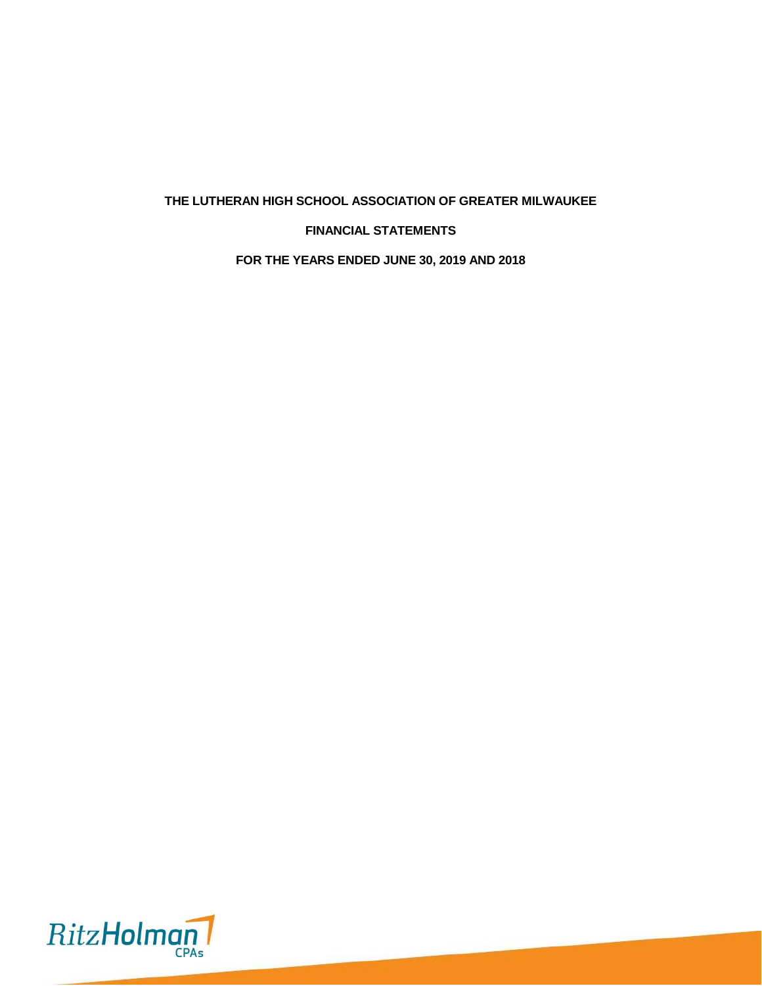# **THE LUTHERAN HIGH SCHOOL ASSOCIATION OF GREATER MILWAUKEE**

# **FINANCIAL STATEMENTS**

**FOR THE YEARS ENDED JUNE 30, 2019 AND 2018**

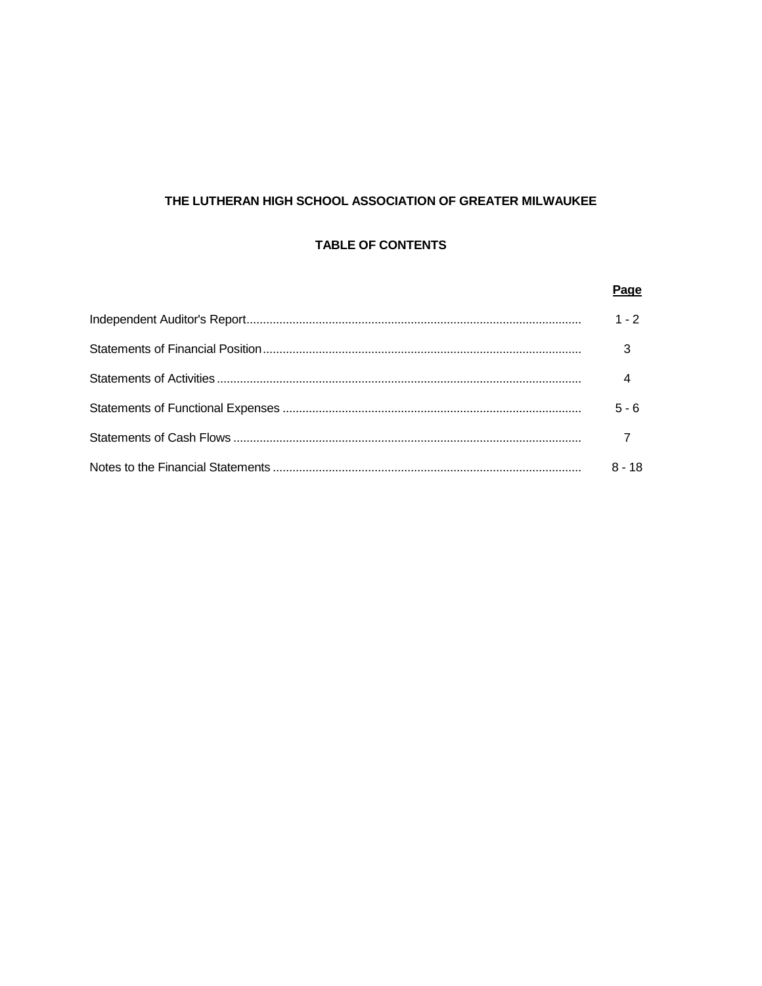# THE LUTHERAN HIGH SCHOOL ASSOCIATION OF GREATER MILWAUKEE

# **TABLE OF CONTENTS**

# Page

| $-2^{-}$ |
|----------|
|          |
|          |
| $5 - 6$  |
|          |
| $8 - 18$ |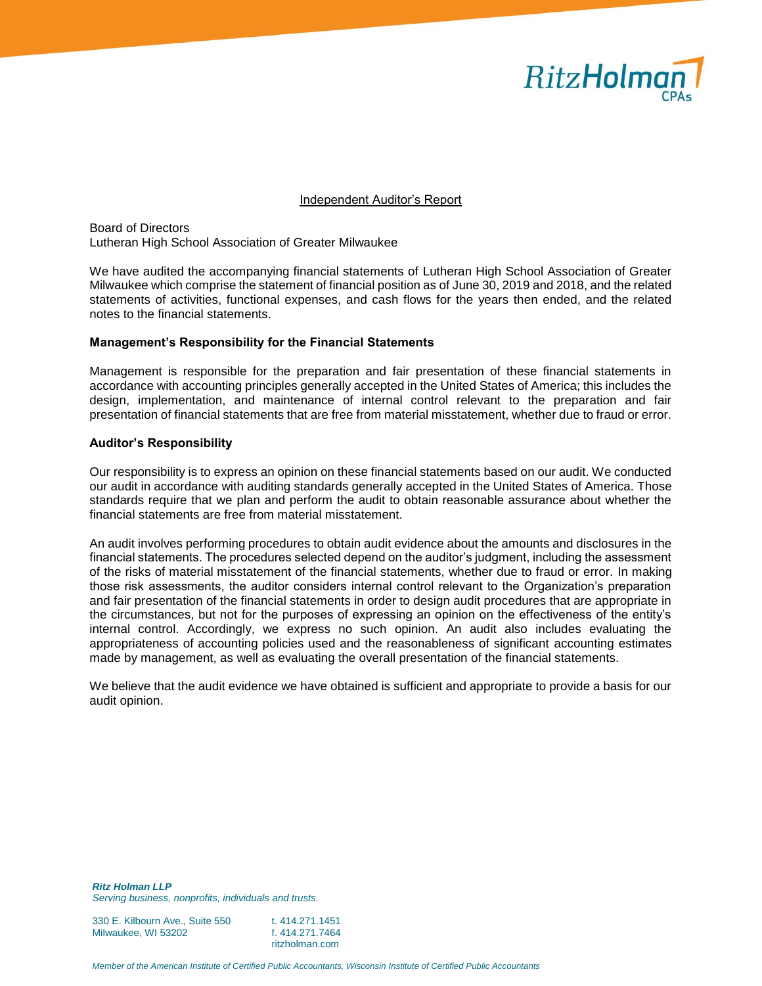

#### Independent Auditor's Report

Board of Directors Lutheran High School Association of Greater Milwaukee

We have audited the accompanying financial statements of Lutheran High School Association of Greater Milwaukee which comprise the statement of financial position as of June 30, 2019 and 2018, and the related statements of activities, functional expenses, and cash flows for the years then ended, and the related notes to the financial statements.

#### **Management's Responsibility for the Financial Statements**

Management is responsible for the preparation and fair presentation of these financial statements in accordance with accounting principles generally accepted in the United States of America; this includes the design, implementation, and maintenance of internal control relevant to the preparation and fair presentation of financial statements that are free from material misstatement, whether due to fraud or error.

#### **Auditor's Responsibility**

Our responsibility is to express an opinion on these financial statements based on our audit. We conducted our audit in accordance with auditing standards generally accepted in the United States of America. Those standards require that we plan and perform the audit to obtain reasonable assurance about whether the financial statements are free from material misstatement.

An audit involves performing procedures to obtain audit evidence about the amounts and disclosures in the financial statements. The procedures selected depend on the auditor's judgment, including the assessment of the risks of material misstatement of the financial statements, whether due to fraud or error. In making those risk assessments, the auditor considers internal control relevant to the Organization's preparation and fair presentation of the financial statements in order to design audit procedures that are appropriate in the circumstances, but not for the purposes of expressing an opinion on the effectiveness of the entity's internal control. Accordingly, we express no such opinion. An audit also includes evaluating the appropriateness of accounting policies used and the reasonableness of significant accounting estimates made by management, as well as evaluating the overall presentation of the financial statements.

We believe that the audit evidence we have obtained is sufficient and appropriate to provide a basis for our audit opinion.

*Ritz Holman LLP Serving business, nonprofits, individuals and trusts.*

| 330 E. Kilbourn Ave., Suite 550 | t. 414.271.1451 |
|---------------------------------|-----------------|
| Milwaukee, WI 53202             | f. 414.271.7464 |
|                                 | ritzholman.com  |

*Member of the American Institute of Certified Public Accountants, Wisconsin Institute of Certified Public Accountants*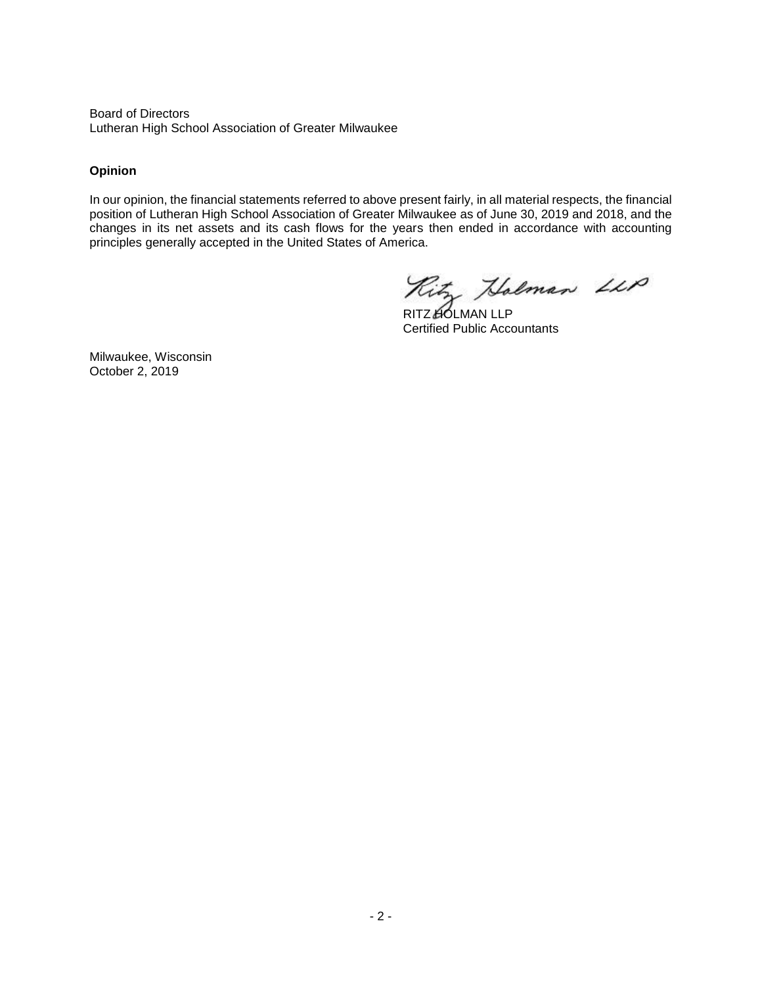Board of Directors Lutheran High School Association of Greater Milwaukee

# **Opinion**

In our opinion, the financial statements referred to above present fairly, in all material respects, the financial position of Lutheran High School Association of Greater Milwaukee as of June 30, 2019 and 2018, and the changes in its net assets and its cash flows for the years then ended in accordance with accounting principles generally accepted in the United States of America.

Ritz Holman LLP

RITZ HOLMAN LLP Certified Public Accountants

Milwaukee, Wisconsin October 2, 2019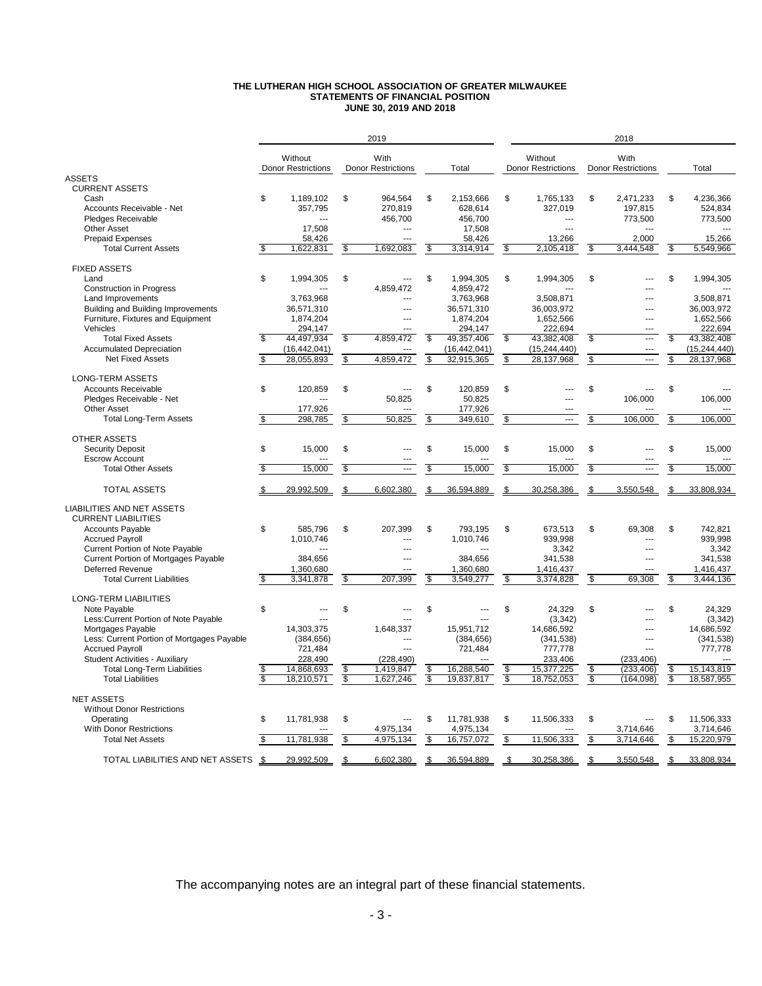#### **THE LUTHERAN HIGH SCHOOL ASSOCIATION OF GREATER MILWAUKEE STATEMENTS OF FINANCIAL POSITION JUNE 30, 2019 AND 2018**

|                                               |      |                              |                          | 2019                      |    |                       |                          |                              | 2018                      |    |                      |
|-----------------------------------------------|------|------------------------------|--------------------------|---------------------------|----|-----------------------|--------------------------|------------------------------|---------------------------|----|----------------------|
|                                               |      | Without                      |                          | With                      |    |                       |                          | Without                      | With                      |    |                      |
|                                               |      | <b>Donor Restrictions</b>    |                          | <b>Donor Restrictions</b> |    | Total                 |                          | <b>Donor Restrictions</b>    | <b>Donor Restrictions</b> |    | Total                |
| <b>ASSETS</b>                                 |      |                              |                          |                           |    |                       |                          |                              |                           |    |                      |
| <b>CURRENT ASSETS</b>                         |      |                              |                          |                           |    |                       |                          |                              |                           |    |                      |
| Cash                                          | \$   | 1,189,102                    | \$                       | 964,564                   | \$ | 2,153,666             | \$                       | 1,765,133                    | \$<br>2,471,233           | \$ | 4,236,366            |
| Accounts Receivable - Net                     |      | 357,795                      |                          | 270,819                   |    | 628,614               |                          | 327,019                      | 197,815                   |    | 524,834              |
| Pledges Receivable                            |      | $\sim$                       |                          | 456,700                   |    | 456,700               |                          | ---                          | 773,500                   |    | 773,500              |
| <b>Other Asset</b>                            |      | 17,508                       |                          | $---$                     |    | 17,508                |                          | $\overline{a}$               |                           |    | $- - -$              |
| Prepaid Expenses                              |      | 58,426                       |                          | ---                       |    | 58,426                |                          | 13.266                       | 2.000                     |    | 15,266               |
| <b>Total Current Assets</b>                   | S    | 1,622,831                    | \$                       | 1,692,083                 | \$ | 3,314,914             | $\overline{\mathcal{S}}$ | 2,105,418                    | \$<br>3,444,548           | \$ | 5,549,966            |
|                                               |      |                              |                          |                           |    |                       |                          |                              |                           |    |                      |
| <b>FIXED ASSETS</b>                           |      |                              |                          |                           |    |                       |                          |                              |                           |    |                      |
| Land                                          | \$   | 1,994,305                    | \$                       |                           | \$ | 1,994,305             | \$                       | 1,994,305                    | \$                        | \$ | 1,994,305            |
| <b>Construction in Progress</b>               |      |                              |                          | 4.859.472                 |    | 4,859,472             |                          |                              | ---                       |    |                      |
| Land Improvements                             |      | 3,763,968                    |                          |                           |    | 3,763,968             |                          | 3,508,871                    | $\sim$                    |    | 3,508,871            |
| Building and Building Improvements            |      | 36,571,310                   |                          | $-$                       |    | 36,571,310            |                          | 36,003,972                   | $---$                     |    | 36,003,972           |
| Furniture, Fixtures and Equipment<br>Vehicles |      | 1,874,204                    |                          | $\overline{a}$            |    | 1,874,204             |                          | 1,652,566                    | $\sim$                    |    | 1,652,566<br>222,694 |
| <b>Total Fixed Assets</b>                     | s,   | 294,147                      | $\overline{\mathcal{S}}$ | 4,859,472                 | \$ | 294,147<br>49,357,406 | $\overline{\$}$          | 222,694                      | \$<br>$---$               | S  | 43,382,408           |
| <b>Accumulated Depreciation</b>               |      | 44,497,934<br>(16, 442, 041) |                          |                           |    | (16, 442, 041)        |                          | 43,382,408<br>(15, 244, 440) | ---                       |    | (15, 244, 440)       |
| <b>Net Fixed Assets</b>                       | \$   |                              | \$                       | 4,859,472                 |    |                       | \$                       |                              | $\overline{a}$            |    | 28,137,968           |
|                                               |      | 28,055,893                   |                          |                           | \$ | 32,915,365            |                          | 28,137,968                   | \$                        | \$ |                      |
| LONG-TERM ASSETS                              |      |                              |                          |                           |    |                       |                          |                              |                           |    |                      |
| <b>Accounts Receivable</b>                    | \$   | 120,859                      | \$                       | ---                       | \$ | 120,859               | \$                       |                              | \$                        | \$ |                      |
| Pledges Receivable - Net                      |      |                              |                          | 50,825                    |    | 50,825                |                          |                              | 106,000                   |    | 106,000              |
| <b>Other Asset</b>                            |      | 177,926                      |                          |                           |    | 177,926               |                          |                              |                           |    |                      |
| <b>Total Long-Term Assets</b>                 | \$   | 298,785                      | \$                       | 50,825                    | \$ | 349,610               | \$                       | ---                          | \$<br>106,000             | \$ | 106,000              |
|                                               |      |                              |                          |                           |    |                       |                          |                              |                           |    |                      |
| OTHER ASSETS                                  |      |                              |                          |                           |    |                       |                          |                              |                           |    |                      |
| <b>Security Deposit</b>                       | \$   | 15,000                       | \$                       |                           | \$ | 15,000                | \$                       | 15,000                       | \$<br>$\sim$              | \$ | 15,000               |
| <b>Escrow Account</b>                         |      |                              |                          |                           |    |                       |                          |                              |                           |    |                      |
| <b>Total Other Assets</b>                     | \$   | 15,000                       | \$                       | ---                       | \$ | 15,000                | \$                       | 15,000                       | \$<br>---                 | \$ | 15,000               |
|                                               |      |                              |                          |                           |    |                       |                          |                              |                           |    |                      |
| <b>TOTAL ASSETS</b>                           |      | 29,992,509                   | $\mathbf{\mathcal{S}}$   | 6,602,380                 | \$ | 36,594,889            | $\frac{1}{2}$            | 30,258,386                   | \$<br>3,550,548           | \$ | 33,808,934           |
|                                               |      |                              |                          |                           |    |                       |                          |                              |                           |    |                      |
| <b>LIABILITIES AND NET ASSETS</b>             |      |                              |                          |                           |    |                       |                          |                              |                           |    |                      |
| <b>CURRENT LIABILITIES</b>                    |      |                              |                          |                           |    |                       |                          |                              |                           |    |                      |
| <b>Accounts Payable</b>                       | \$   | 585,796                      | \$                       | 207,399                   | \$ | 793,195               | \$                       | 673,513                      | \$<br>69,308              | \$ | 742,821              |
| <b>Accrued Payroll</b>                        |      | 1,010,746                    |                          | $\sim$                    |    | 1,010,746             |                          | 939,998                      | $\overline{a}$            |    | 939,998              |
| Current Portion of Note Payable               |      |                              |                          | ---                       |    |                       |                          | 3,342                        | $\sim$                    |    | 3,342                |
| Current Portion of Mortgages Payable          |      | 384,656                      |                          | ---<br>$\sim$             |    | 384,656               |                          | 341,538                      | $\sim$<br>$\sim$          |    | 341,538              |
| <b>Deferred Revenue</b>                       |      | 1,360,680                    |                          |                           |    | 1,360,680             |                          | 1,416,437                    |                           |    | 1,416,437            |
| <b>Total Current Liabilities</b>              | S    | 3,341,878                    | \$                       | 207,399                   | S  | 3,549,277             | \$                       | 3,374,828                    | \$<br>69,308              | S  | 3,444,136            |
| <b>LONG-TERM LIABILITIES</b>                  |      |                              |                          |                           |    |                       |                          |                              |                           |    |                      |
| Note Payable                                  | \$   |                              | \$                       |                           | \$ | $\overline{a}$        | \$                       | 24,329                       | \$<br>$---$               | \$ | 24,329               |
| Less: Current Portion of Note Payable         |      |                              |                          |                           |    |                       |                          | (3, 342)                     | ---                       |    | (3, 342)             |
| Mortgages Payable                             |      | 14.303.375                   |                          | 1.648.337                 |    | 15.951.712            |                          | 14.686.592                   | ---                       |    | 14,686,592           |
| Less: Current Portion of Mortgages Payable    |      | (384, 656)                   |                          | $\overline{a}$            |    | (384, 656)            |                          | (341, 538)                   | $-$                       |    | (341, 538)           |
| <b>Accrued Payroll</b>                        |      | 721,484                      |                          | $\overline{a}$            |    | 721,484               |                          | 777,778                      | $\sim$                    |    | 777,778              |
| Student Activities - Auxiliary                |      | 228,490                      |                          | (228, 490)                |    |                       |                          | 233,406                      | (233, 406)                |    |                      |
| <b>Total Long-Term Liabilities</b>            | \$   | 14,868,693                   | \$                       | 1.419.847                 | \$ | 16,288,540            | \$                       | 15,377,225                   | \$<br>(233.406)           | \$ | 15,143,819           |
| <b>Total Liabilities</b>                      | \$   | 18,210,571                   | $\overline{\mathsf{s}}$  | 1,627,246                 | \$ | 19,837,817            | \$                       | 18,752,053                   | \$<br>(164, 098)          | S  | 18,587,955           |
|                                               |      |                              |                          |                           |    |                       |                          |                              |                           |    |                      |
| <b>NET ASSETS</b>                             |      |                              |                          |                           |    |                       |                          |                              |                           |    |                      |
| <b>Without Donor Restrictions</b>             |      |                              |                          |                           |    |                       |                          |                              |                           |    |                      |
| Operating                                     | \$   | 11,781,938                   | \$                       |                           | \$ | 11,781,938            | \$                       | 11,506,333                   | \$                        | \$ | 11,506,333           |
| With Donor Restrictions                       |      |                              |                          | 4,975,134                 |    | 4,975,134             |                          |                              | 3,714,646                 |    | 3,714,646            |
| <b>Total Net Assets</b>                       | \$   | 11,781,938                   | \$                       | 4,975,134                 | \$ | 16,757,072            | \$                       | 11,506,333                   | \$<br>3,714,646           |    | 15,220,979           |
|                                               |      |                              |                          |                           |    |                       |                          |                              |                           |    |                      |
| TOTAL LIABILITIES AND NET ASSETS              | - \$ | 29.992.509                   | \$                       | 6,602,380                 |    | 36.594.889            | \$                       | 30,258,386                   | \$<br>3.550.548           | S  | 33.808.934           |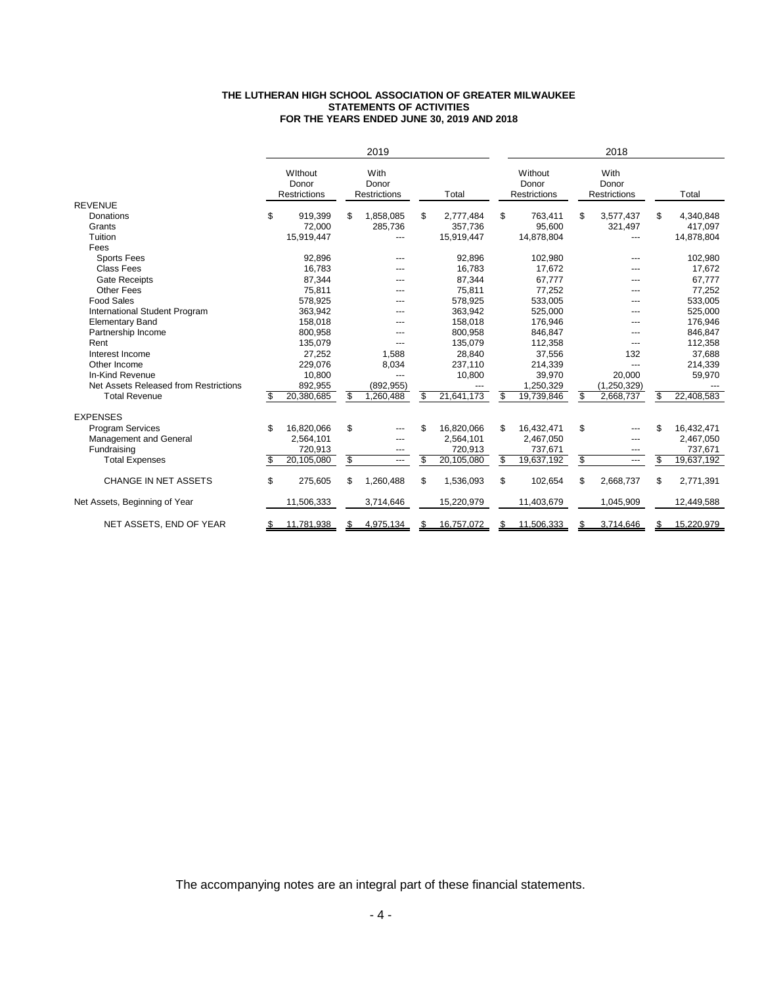#### **STATEMENTS OF ACTIVITIES FOR THE YEARS ENDED JUNE 30, 2019 AND 2018 THE LUTHERAN HIGH SCHOOL ASSOCIATION OF GREATER MILWAUKEE**

|                                       | 2019 |                                         |    |                                      | 2018 |            |    |                                         |    |                                      |    |            |
|---------------------------------------|------|-----------------------------------------|----|--------------------------------------|------|------------|----|-----------------------------------------|----|--------------------------------------|----|------------|
|                                       |      | Without<br>Donor<br><b>Restrictions</b> |    | With<br>Donor<br><b>Restrictions</b> |      | Total      |    | Without<br>Donor<br><b>Restrictions</b> |    | With<br>Donor<br><b>Restrictions</b> |    | Total      |
| <b>REVENUE</b>                        |      |                                         |    |                                      |      |            |    |                                         |    |                                      |    |            |
| Donations                             | \$   | 919,399                                 | \$ | 1,858,085                            | \$   | 2,777,484  | \$ | 763,411                                 | \$ | 3,577,437                            | \$ | 4,340,848  |
| Grants                                |      | 72,000                                  |    | 285,736                              |      | 357,736    |    | 95.600                                  |    | 321,497                              |    | 417,097    |
| Tuition                               |      | 15,919,447                              |    | ---                                  |      | 15,919,447 |    | 14,878,804                              |    | ---                                  |    | 14,878,804 |
| Fees                                  |      |                                         |    |                                      |      |            |    |                                         |    |                                      |    |            |
| <b>Sports Fees</b>                    |      | 92,896                                  |    |                                      |      | 92,896     |    | 102,980                                 |    |                                      |    | 102,980    |
| <b>Class Fees</b>                     |      | 16.783                                  |    |                                      |      | 16.783     |    | 17,672                                  |    |                                      |    | 17,672     |
| <b>Gate Receipts</b>                  |      | 87,344                                  |    |                                      |      | 87,344     |    | 67,777                                  |    |                                      |    | 67,777     |
| <b>Other Fees</b>                     |      | 75,811                                  |    |                                      |      | 75,811     |    | 77,252                                  |    |                                      |    | 77,252     |
| <b>Food Sales</b>                     |      | 578,925                                 |    | ---                                  |      | 578,925    |    | 533,005                                 |    | ---                                  |    | 533,005    |
| International Student Program         |      | 363.942                                 |    |                                      |      | 363,942    |    | 525.000                                 |    |                                      |    | 525,000    |
| <b>Elementary Band</b>                |      | 158,018                                 |    |                                      |      | 158,018    |    | 176,946                                 |    |                                      |    | 176,946    |
| Partnership Income                    |      | 800,958                                 |    |                                      |      | 800,958    |    | 846,847                                 |    |                                      |    | 846,847    |
| Rent                                  |      | 135,079                                 |    |                                      |      | 135,079    |    | 112,358                                 |    | ---                                  |    | 112,358    |
| Interest Income                       |      | 27,252                                  |    | 1,588                                |      | 28,840     |    | 37,556                                  |    | 132                                  |    | 37,688     |
| Other Income                          |      | 229,076                                 |    | 8,034                                |      | 237,110    |    | 214,339                                 |    | ---                                  |    | 214,339    |
| In-Kind Revenue                       |      | 10,800                                  |    | $\overline{a}$                       |      | 10,800     |    | 39,970                                  |    | 20,000                               |    | 59,970     |
| Net Assets Released from Restrictions |      | 892,955                                 |    | (892, 955)                           |      |            |    | 1,250,329                               |    | (1,250,329)                          |    |            |
| <b>Total Revenue</b>                  |      | 20,380,685                              | \$ | 1,260,488                            | S    | 21,641,173 | \$ | 19,739,846                              | \$ | 2,668,737                            | \$ | 22,408,583 |
| <b>EXPENSES</b>                       |      |                                         |    |                                      |      |            |    |                                         |    |                                      |    |            |
| <b>Program Services</b>               | \$.  | 16.820.066                              | \$ |                                      | \$   | 16,820,066 | \$ | 16,432,471                              | \$ | ---                                  | \$ | 16,432,471 |
| Management and General                |      | 2,564,101                               |    |                                      |      | 2,564,101  |    | 2,467,050                               |    | ---                                  |    | 2,467,050  |
| Fundraising                           |      | 720,913                                 |    |                                      |      | 720,913    |    | 737,671                                 |    | ---                                  |    | 737,671    |
| <b>Total Expenses</b>                 |      | 20,105,080                              | \$ | $\overline{a}$                       |      | 20,105,080 | \$ | 19,637,192                              | \$ | $---$                                | \$ | 19,637,192 |
|                                       |      |                                         |    |                                      |      |            |    |                                         |    |                                      |    |            |
| <b>CHANGE IN NET ASSETS</b>           | \$   | 275,605                                 |    | 1.260.488                            | \$   | 1,536,093  | \$ | 102,654                                 | \$ | 2,668,737                            | \$ | 2,771,391  |
| Net Assets, Beginning of Year         |      | 11,506,333                              |    | 3,714,646                            |      | 15,220,979 |    | 11,403,679                              |    | 1,045,909                            |    | 12,449,588 |
| NET ASSETS, END OF YEAR               |      | 11,781,938                              |    | 4,975,134                            |      | 16,757,072 |    | 11,506,333                              |    | 3,714,646                            |    | 15,220,979 |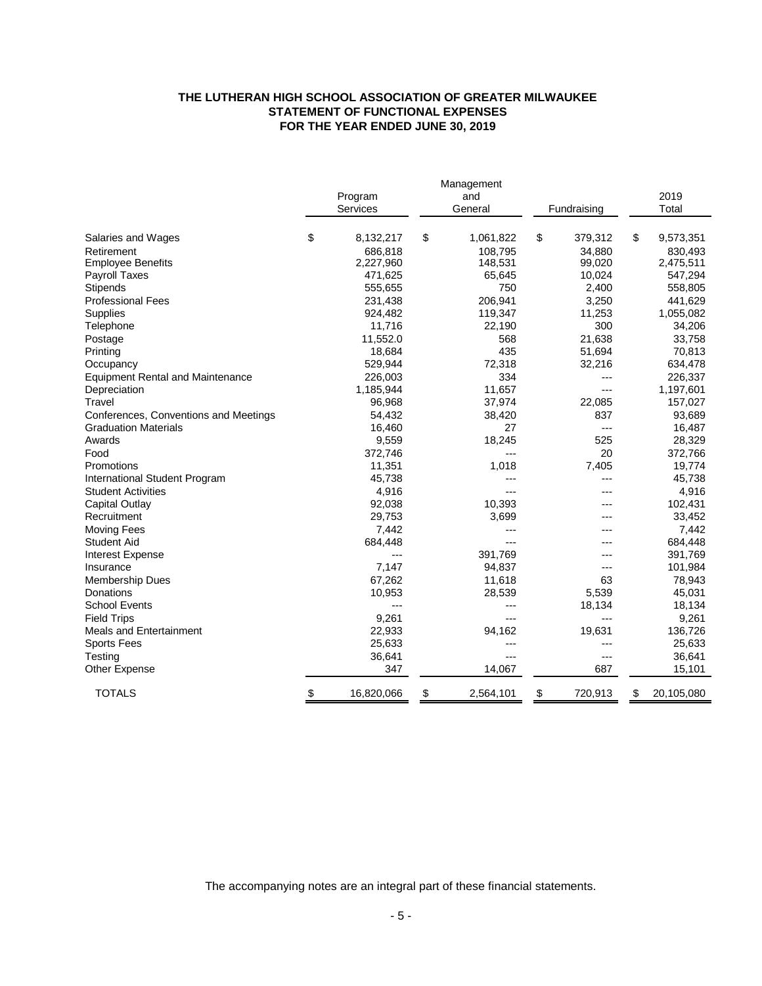#### **THE LUTHERAN HIGH SCHOOL ASSOCIATION OF GREATER MILWAUKEE STATEMENT OF FUNCTIONAL EXPENSES FOR THE YEAR ENDED JUNE 30, 2019**

|                                         |                  | Management      |               |                  |
|-----------------------------------------|------------------|-----------------|---------------|------------------|
|                                         | Program          | and             |               | 2019             |
|                                         | Services         | General         | Fundraising   | Total            |
|                                         |                  |                 |               |                  |
| Salaries and Wages                      | \$<br>8,132,217  | \$<br>1,061,822 | \$<br>379,312 | \$<br>9,573,351  |
| Retirement                              | 686,818          | 108,795         | 34,880        | 830,493          |
| <b>Employee Benefits</b>                | 2,227,960        | 148,531         | 99,020        | 2,475,511        |
| Payroll Taxes                           | 471,625          | 65,645          | 10,024        | 547,294          |
| <b>Stipends</b>                         | 555,655          | 750             | 2,400         | 558,805          |
| <b>Professional Fees</b>                | 231,438          | 206,941         | 3,250         | 441,629          |
| Supplies                                | 924,482          | 119,347         | 11,253        | 1,055,082        |
| Telephone                               | 11,716           | 22,190          | 300           | 34,206           |
| Postage                                 | 11,552.0         | 568             | 21,638        | 33,758           |
| Printing                                | 18,684           | 435             | 51,694        | 70,813           |
| Occupancy                               | 529,944          | 72,318          | 32,216        | 634,478          |
| <b>Equipment Rental and Maintenance</b> | 226,003          | 334             | ---           | 226,337          |
| Depreciation                            | 1,185,944        | 11,657          | $---$         | 1,197,601        |
| Travel                                  | 96,968           | 37,974          | 22,085        | 157,027          |
| Conferences, Conventions and Meetings   | 54,432           | 38,420          | 837           | 93,689           |
| <b>Graduation Materials</b>             | 16,460           | 27              | $---$         | 16,487           |
| Awards                                  | 9,559            | 18,245          | 525           | 28,329           |
| Food                                    | 372,746          | ---             | 20            | 372,766          |
| Promotions                              | 11,351           | 1,018           | 7,405         | 19,774           |
| International Student Program           | 45,738           | ---             | ---           | 45,738           |
| <b>Student Activities</b>               | 4,916            | ---             | ---           | 4,916            |
| Capital Outlay                          | 92,038           | 10,393          |               | 102,431          |
| Recruitment                             | 29,753           | 3,699           |               | 33,452           |
| <b>Moving Fees</b>                      | 7,442            |                 |               | 7,442            |
| Student Aid                             | 684,448          | $---$           |               | 684,448          |
| <b>Interest Expense</b>                 | ---              | 391,769         |               | 391,769          |
| Insurance                               | 7,147            | 94,837          | ---           | 101,984          |
| <b>Membership Dues</b>                  | 67,262           | 11,618          | 63            | 78,943           |
| Donations                               | 10,953           | 28,539          | 5,539         | 45,031           |
| <b>School Events</b>                    | ---              |                 | 18,134        | 18,134           |
| <b>Field Trips</b>                      | 9,261            | ---             | ---           | 9,261            |
| Meals and Entertainment                 | 22,933           | 94,162          | 19,631        | 136,726          |
| Sports Fees                             | 25,633           | ---             | ---           | 25,633           |
| Testing                                 | 36,641           | ---             | $---$         | 36,641           |
| <b>Other Expense</b>                    | 347              | 14,067          | 687           | 15,101           |
| <b>TOTALS</b>                           | \$<br>16,820,066 | \$<br>2,564,101 | \$<br>720,913 | \$<br>20,105,080 |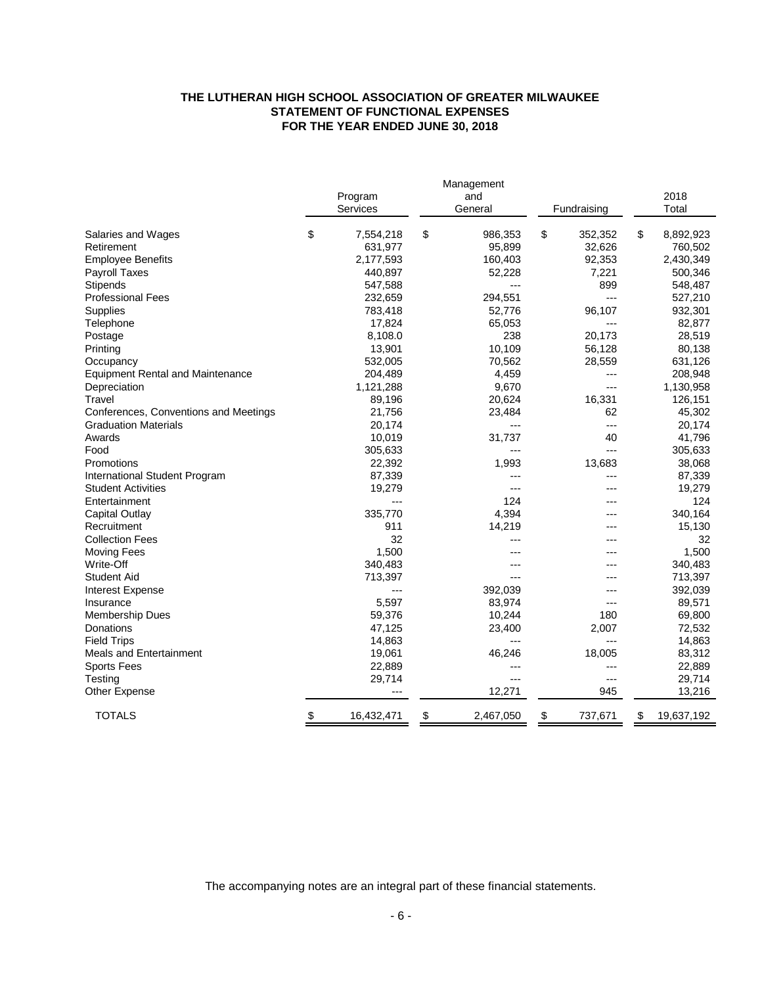#### **STATEMENT OF FUNCTIONAL EXPENSES THE LUTHERAN HIGH SCHOOL ASSOCIATION OF GREATER MILWAUKEE FOR THE YEAR ENDED JUNE 30, 2018**

|                                         |                  | Management      |               |                  |
|-----------------------------------------|------------------|-----------------|---------------|------------------|
|                                         | Program          | and             |               | 2018             |
|                                         | Services         | General         | Fundraising   | Total            |
| Salaries and Wages                      | \$<br>7,554,218  | \$<br>986,353   | \$<br>352,352 | \$<br>8,892,923  |
| Retirement                              | 631,977          | 95,899          | 32,626        | 760,502          |
| <b>Employee Benefits</b>                | 2,177,593        | 160,403         | 92,353        | 2,430,349        |
| Payroll Taxes                           | 440,897          | 52,228          | 7,221         | 500,346          |
| <b>Stipends</b>                         | 547,588          | $\overline{a}$  | 899           | 548,487          |
| <b>Professional Fees</b>                | 232,659          | 294,551         | ---           | 527,210          |
| Supplies                                | 783,418          | 52,776          | 96,107        | 932,301          |
| Telephone                               | 17,824           | 65,053          | ---           | 82,877           |
| Postage                                 | 8,108.0          | 238             | 20,173        | 28,519           |
| Printing                                | 13,901           | 10,109          | 56,128        | 80,138           |
| Occupancy                               | 532,005          | 70,562          | 28,559        | 631,126          |
| <b>Equipment Rental and Maintenance</b> | 204,489          | 4,459           | ---           | 208,948          |
| Depreciation                            | 1,121,288        | 9,670           | ---           | 1,130,958        |
| Travel                                  | 89,196           | 20,624          | 16,331        | 126,151          |
| Conferences, Conventions and Meetings   | 21,756           | 23,484          | 62            | 45,302           |
| <b>Graduation Materials</b>             | 20,174           | ---             | ---           | 20,174           |
| Awards                                  | 10,019           | 31,737          | 40            | 41,796           |
| Food                                    | 305,633          | ---             | ---           | 305,633          |
| Promotions                              | 22,392           | 1,993           | 13,683        | 38,068           |
| International Student Program           | 87,339           | ---             | ---           | 87,339           |
| <b>Student Activities</b>               | 19,279           | ---             | ---           | 19,279           |
| Entertainment                           | ---              | 124             | ---           | 124              |
| Capital Outlay                          | 335,770          | 4,394           |               | 340.164          |
| Recruitment                             | 911              | 14,219          |               | 15,130           |
| <b>Collection Fees</b>                  | 32               |                 | ---           | 32               |
| <b>Moving Fees</b>                      | 1,500            |                 |               | 1,500            |
| Write-Off                               | 340,483          |                 |               | 340,483          |
| <b>Student Aid</b>                      | 713,397          | ---             |               | 713,397          |
| <b>Interest Expense</b>                 | ---              | 392,039         |               | 392,039          |
| Insurance                               | 5,597            | 83,974          | ---           | 89,571           |
| <b>Membership Dues</b>                  | 59,376           | 10,244          | 180           | 69,800           |
| Donations                               | 47,125           | 23,400          | 2,007         | 72,532           |
| <b>Field Trips</b>                      | 14,863           |                 |               | 14,863           |
| <b>Meals and Entertainment</b>          | 19,061           | 46,246          | 18,005        | 83,312           |
| <b>Sports Fees</b>                      | 22,889           | ---             | ---           | 22,889           |
| Testing                                 | 29,714           | ---             | ---           | 29,714           |
| <b>Other Expense</b>                    |                  | 12,271          | 945           | 13,216           |
| <b>TOTALS</b>                           | \$<br>16,432,471 | \$<br>2,467,050 | \$<br>737,671 | \$<br>19,637,192 |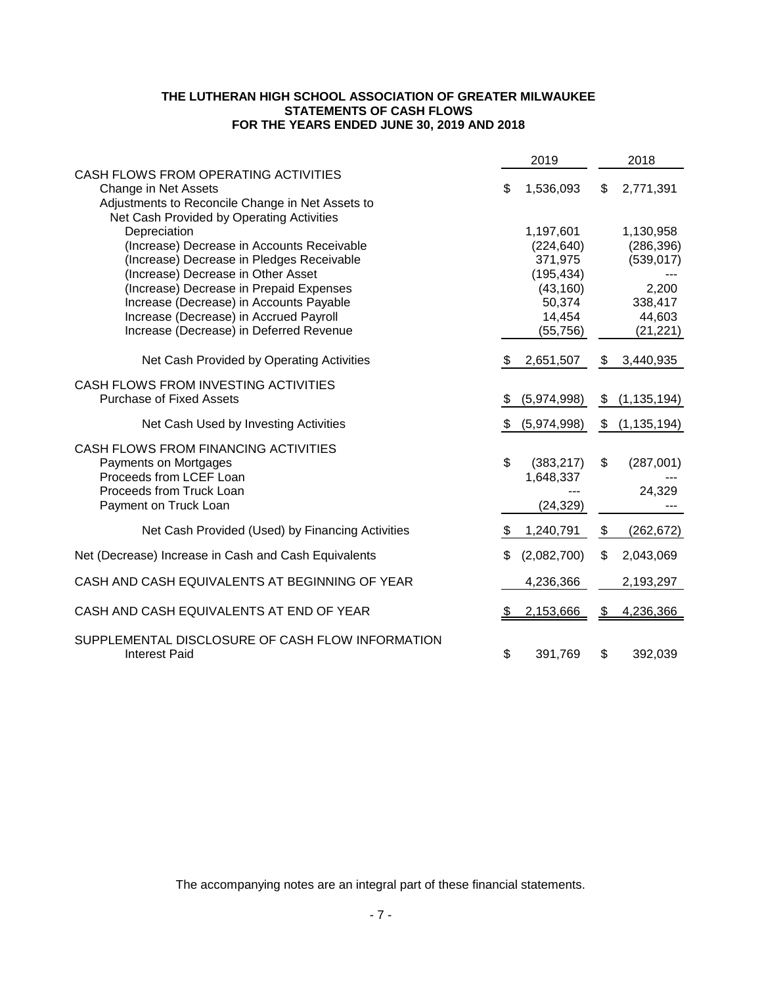#### **THE LUTHERAN HIGH SCHOOL ASSOCIATION OF GREATER MILWAUKEE STATEMENTS OF CASH FLOWS FOR THE YEARS ENDED JUNE 30, 2019 AND 2018**

|                                                                                                                                                                                                                                                                                                                                                                       | 2019                                                                                           | 2018                                                                             |
|-----------------------------------------------------------------------------------------------------------------------------------------------------------------------------------------------------------------------------------------------------------------------------------------------------------------------------------------------------------------------|------------------------------------------------------------------------------------------------|----------------------------------------------------------------------------------|
| CASH FLOWS FROM OPERATING ACTIVITIES<br>Change in Net Assets<br>Adjustments to Reconcile Change in Net Assets to                                                                                                                                                                                                                                                      | 1,536,093<br>\$.                                                                               | 2,771,391<br>S                                                                   |
| Net Cash Provided by Operating Activities<br>Depreciation<br>(Increase) Decrease in Accounts Receivable<br>(Increase) Decrease in Pledges Receivable<br>(Increase) Decrease in Other Asset<br>(Increase) Decrease in Prepaid Expenses<br>Increase (Decrease) in Accounts Payable<br>Increase (Decrease) in Accrued Payroll<br>Increase (Decrease) in Deferred Revenue | 1,197,601<br>(224, 640)<br>371,975<br>(195, 434)<br>(43, 160)<br>50,374<br>14,454<br>(55, 756) | 1,130,958<br>(286, 396)<br>(539, 017)<br>2,200<br>338,417<br>44,603<br>(21, 221) |
| Net Cash Provided by Operating Activities                                                                                                                                                                                                                                                                                                                             | 2,651,507<br>\$                                                                                | 3,440,935<br>\$                                                                  |
| CASH FLOWS FROM INVESTING ACTIVITIES<br><b>Purchase of Fixed Assets</b>                                                                                                                                                                                                                                                                                               | (5,974,998)                                                                                    | (1, 135, 194)<br>\$                                                              |
| Net Cash Used by Investing Activities                                                                                                                                                                                                                                                                                                                                 | (5,974,998)<br>\$.                                                                             | \$<br>(1, 135, 194)                                                              |
| CASH FLOWS FROM FINANCING ACTIVITIES<br>Payments on Mortgages<br>Proceeds from LCEF Loan<br>Proceeds from Truck Loan<br>Payment on Truck Loan                                                                                                                                                                                                                         | \$<br>(383, 217)<br>1,648,337<br>(24, 329)                                                     | \$<br>(287,001)<br>24,329                                                        |
| Net Cash Provided (Used) by Financing Activities                                                                                                                                                                                                                                                                                                                      | 1,240,791                                                                                      | \$<br>(262, 672)                                                                 |
| Net (Decrease) Increase in Cash and Cash Equivalents                                                                                                                                                                                                                                                                                                                  | (2,082,700)<br>\$.                                                                             | 2,043,069<br>\$                                                                  |
| CASH AND CASH EQUIVALENTS AT BEGINNING OF YEAR                                                                                                                                                                                                                                                                                                                        | 4,236,366                                                                                      | 2,193,297                                                                        |
| CASH AND CASH EQUIVALENTS AT END OF YEAR                                                                                                                                                                                                                                                                                                                              | 2,153,666                                                                                      | 4,236,366<br>\$                                                                  |
| SUPPLEMENTAL DISCLOSURE OF CASH FLOW INFORMATION<br><b>Interest Paid</b>                                                                                                                                                                                                                                                                                              | \$<br>391,769                                                                                  | 392,039<br>\$                                                                    |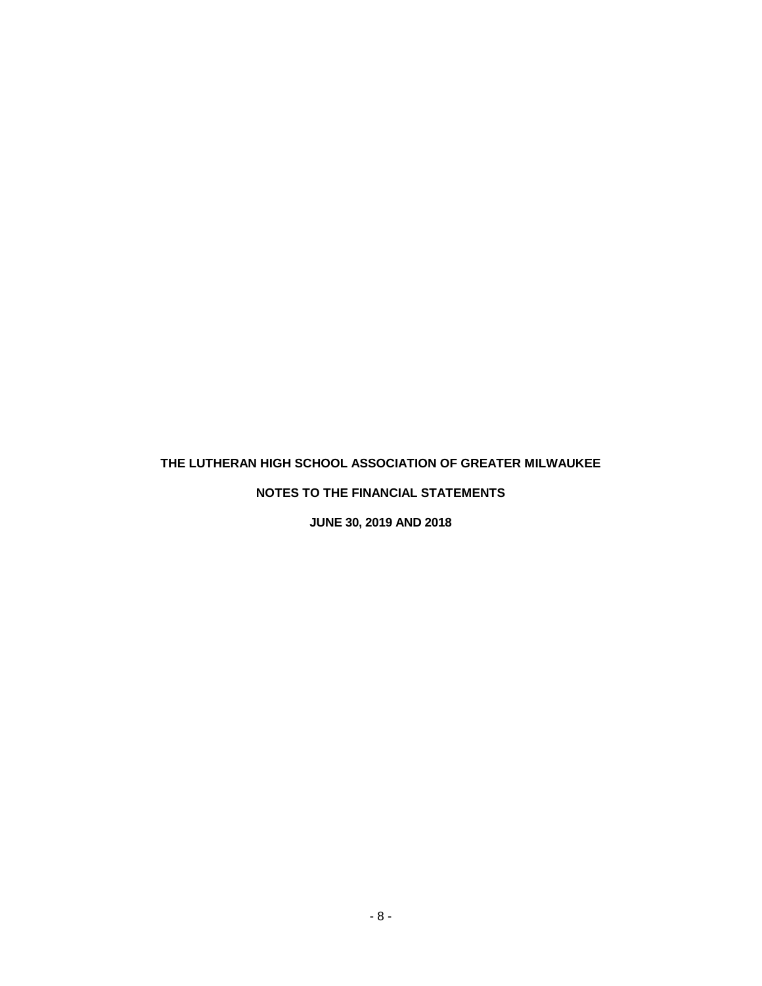# **THE LUTHERAN HIGH SCHOOL ASSOCIATION OF GREATER MILWAUKEE**

# **NOTES TO THE FINANCIAL STATEMENTS**

**JUNE 30, 2019 AND 2018**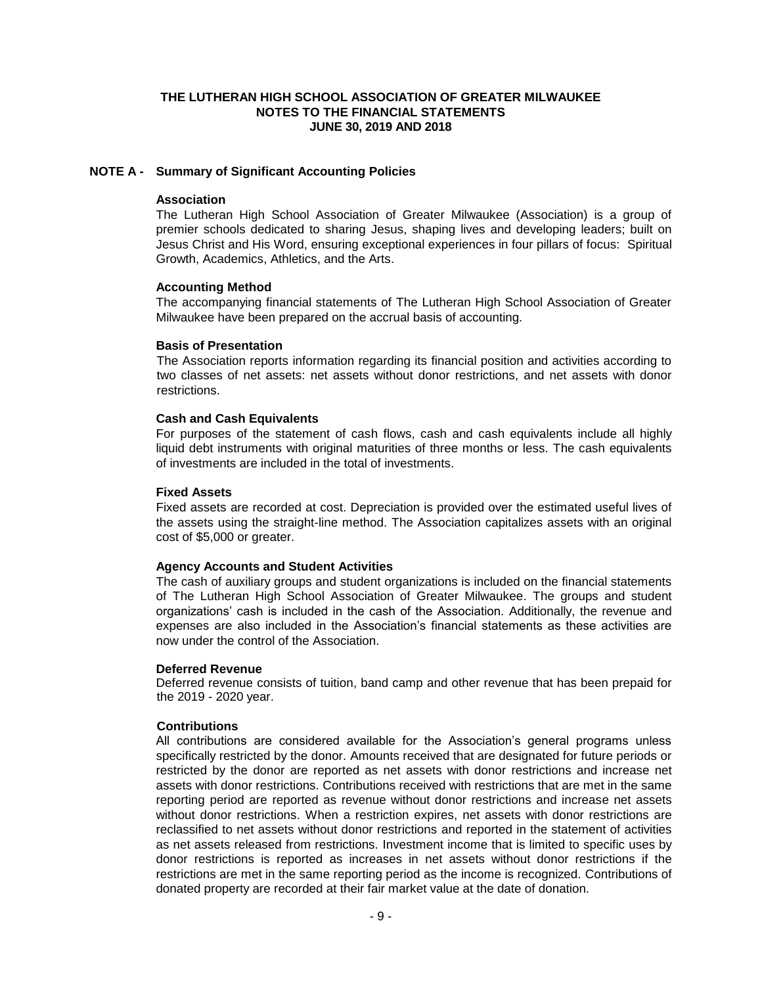#### **NOTE A - Summary of Significant Accounting Policies**

#### **Association**

The Lutheran High School Association of Greater Milwaukee (Association) is a group of premier schools dedicated to sharing Jesus, shaping lives and developing leaders; built on Jesus Christ and His Word, ensuring exceptional experiences in four pillars of focus: Spiritual Growth, Academics, Athletics, and the Arts.

#### **Accounting Method**

The accompanying financial statements of The Lutheran High School Association of Greater Milwaukee have been prepared on the accrual basis of accounting.

#### **Basis of Presentation**

The Association reports information regarding its financial position and activities according to two classes of net assets: net assets without donor restrictions, and net assets with donor restrictions.

#### **Cash and Cash Equivalents**

For purposes of the statement of cash flows, cash and cash equivalents include all highly liquid debt instruments with original maturities of three months or less. The cash equivalents of investments are included in the total of investments.

#### **Fixed Assets**

Fixed assets are recorded at cost. Depreciation is provided over the estimated useful lives of the assets using the straight-line method. The Association capitalizes assets with an original cost of \$5,000 or greater.

#### **Agency Accounts and Student Activities**

The cash of auxiliary groups and student organizations is included on the financial statements of The Lutheran High School Association of Greater Milwaukee. The groups and student organizations' cash is included in the cash of the Association. Additionally, the revenue and expenses are also included in the Association's financial statements as these activities are now under the control of the Association.

#### **Deferred Revenue**

Deferred revenue consists of tuition, band camp and other revenue that has been prepaid for the 2019 - 2020 year.

#### **Contributions**

All contributions are considered available for the Association's general programs unless specifically restricted by the donor. Amounts received that are designated for future periods or restricted by the donor are reported as net assets with donor restrictions and increase net assets with donor restrictions. Contributions received with restrictions that are met in the same reporting period are reported as revenue without donor restrictions and increase net assets without donor restrictions. When a restriction expires, net assets with donor restrictions are reclassified to net assets without donor restrictions and reported in the statement of activities as net assets released from restrictions. Investment income that is limited to specific uses by donor restrictions is reported as increases in net assets without donor restrictions if the restrictions are met in the same reporting period as the income is recognized. Contributions of donated property are recorded at their fair market value at the date of donation.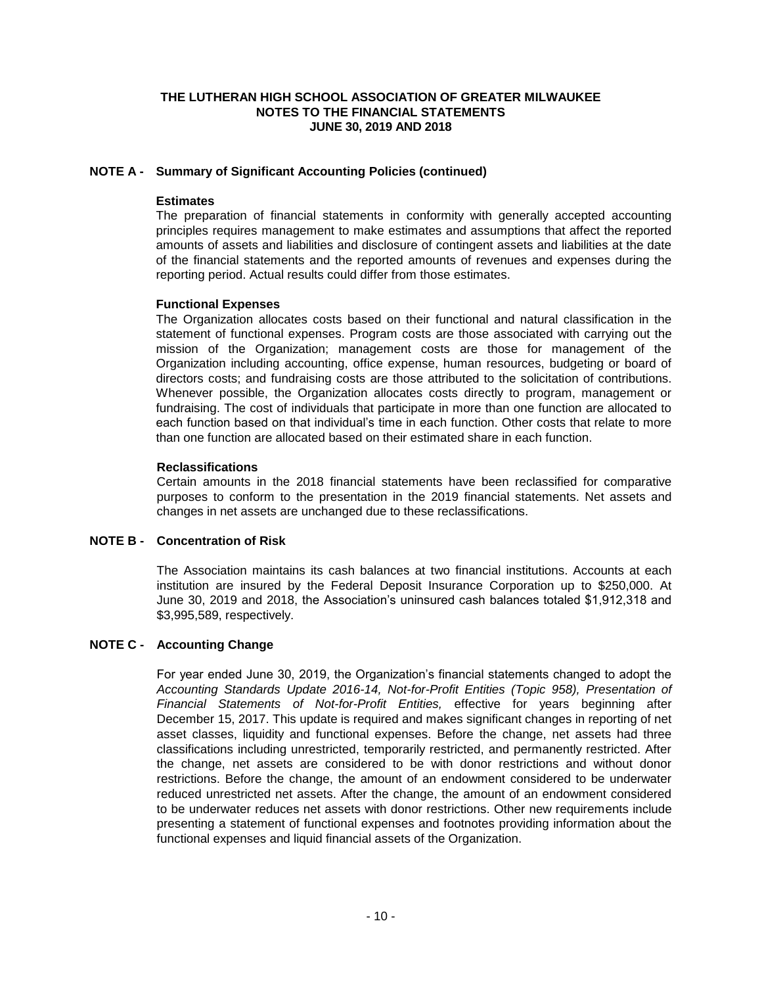# **NOTE A - Summary of Significant Accounting Policies (continued)**

#### **Estimates**

The preparation of financial statements in conformity with generally accepted accounting principles requires management to make estimates and assumptions that affect the reported amounts of assets and liabilities and disclosure of contingent assets and liabilities at the date of the financial statements and the reported amounts of revenues and expenses during the reporting period. Actual results could differ from those estimates.

#### **Functional Expenses**

The Organization allocates costs based on their functional and natural classification in the statement of functional expenses. Program costs are those associated with carrying out the mission of the Organization; management costs are those for management of the Organization including accounting, office expense, human resources, budgeting or board of directors costs; and fundraising costs are those attributed to the solicitation of contributions. Whenever possible, the Organization allocates costs directly to program, management or fundraising. The cost of individuals that participate in more than one function are allocated to each function based on that individual's time in each function. Other costs that relate to more than one function are allocated based on their estimated share in each function.

#### **Reclassifications**

Certain amounts in the 2018 financial statements have been reclassified for comparative purposes to conform to the presentation in the 2019 financial statements. Net assets and changes in net assets are unchanged due to these reclassifications.

### **NOTE B - Concentration of Risk**

The Association maintains its cash balances at two financial institutions. Accounts at each institution are insured by the Federal Deposit Insurance Corporation up to \$250,000. At June 30, 2019 and 2018, the Association's uninsured cash balances totaled \$1,912,318 and \$3,995,589, respectively.

# **NOTE C - Accounting Change**

For year ended June 30, 2019, the Organization's financial statements changed to adopt the *Accounting Standards Update 2016-14, Not-for-Profit Entities (Topic 958), Presentation of Financial Statements of Not-for-Profit Entities,* effective for years beginning after December 15, 2017. This update is required and makes significant changes in reporting of net asset classes, liquidity and functional expenses. Before the change, net assets had three classifications including unrestricted, temporarily restricted, and permanently restricted. After the change, net assets are considered to be with donor restrictions and without donor restrictions. Before the change, the amount of an endowment considered to be underwater reduced unrestricted net assets. After the change, the amount of an endowment considered to be underwater reduces net assets with donor restrictions. Other new requirements include presenting a statement of functional expenses and footnotes providing information about the functional expenses and liquid financial assets of the Organization.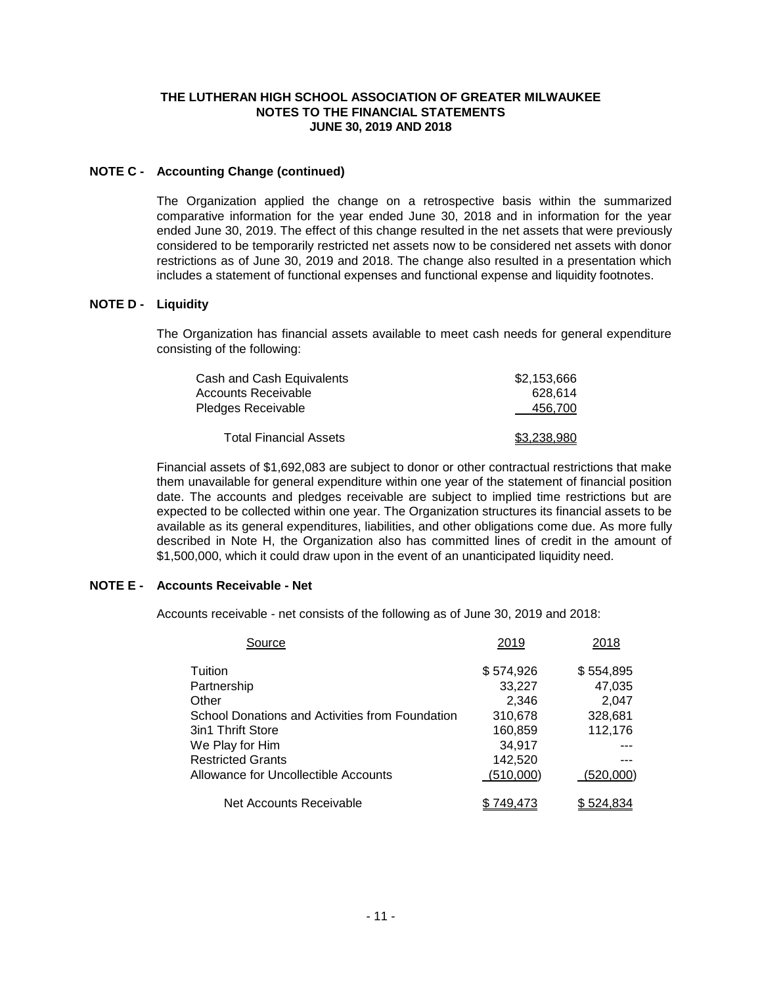#### **NOTE C - Accounting Change (continued)**

The Organization applied the change on a retrospective basis within the summarized comparative information for the year ended June 30, 2018 and in information for the year ended June 30, 2019. The effect of this change resulted in the net assets that were previously considered to be temporarily restricted net assets now to be considered net assets with donor restrictions as of June 30, 2019 and 2018. The change also resulted in a presentation which includes a statement of functional expenses and functional expense and liquidity footnotes.

#### **NOTE D - Liquidity**

The Organization has financial assets available to meet cash needs for general expenditure consisting of the following:

| Cash and Cash Equivalents     | \$2,153,666 |
|-------------------------------|-------------|
| Accounts Receivable           | 628.614     |
| Pledges Receivable            | 456,700     |
| <b>Total Financial Assets</b> | \$3,238,980 |

Financial assets of \$1,692,083 are subject to donor or other contractual restrictions that make them unavailable for general expenditure within one year of the statement of financial position date. The accounts and pledges receivable are subject to implied time restrictions but are expected to be collected within one year. The Organization structures its financial assets to be available as its general expenditures, liabilities, and other obligations come due. As more fully described in Note H, the Organization also has committed lines of credit in the amount of \$1,500,000, which it could draw upon in the event of an unanticipated liquidity need.

#### **NOTE E - Accounts Receivable - Net**

Accounts receivable - net consists of the following as of June 30, 2019 and 2018:

| Source                                          | 2019      | 2018      |
|-------------------------------------------------|-----------|-----------|
| Tuition                                         | \$574,926 | \$554,895 |
| Partnership                                     | 33,227    | 47,035    |
| Other                                           | 2,346     | 2,047     |
| School Donations and Activities from Foundation | 310,678   | 328,681   |
| 3in1 Thrift Store                               | 160,859   | 112,176   |
| We Play for Him                                 | 34,917    |           |
| <b>Restricted Grants</b>                        | 142,520   |           |
| Allowance for Uncollectible Accounts            | (510,000) | (520,000) |
| Net Accounts Receivable                         | 749.473   | \$524,834 |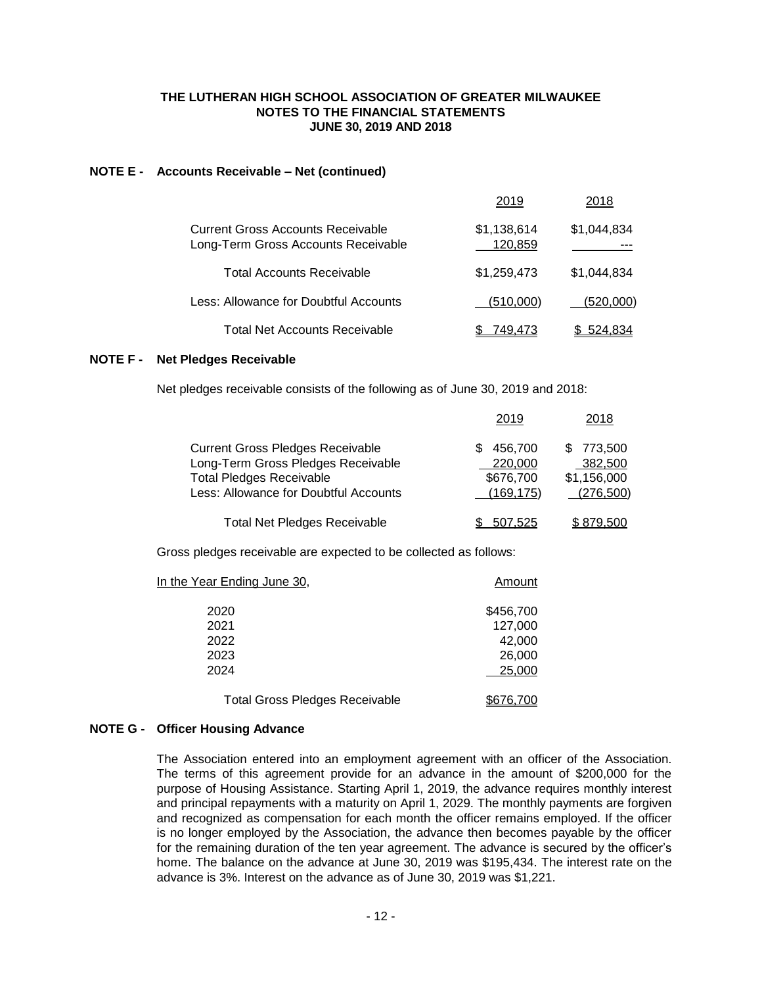#### **NOTE E - Accounts Receivable – Net (continued)**

|                                                                                 | 2019                   | 2018        |
|---------------------------------------------------------------------------------|------------------------|-------------|
| <b>Current Gross Accounts Receivable</b><br>Long-Term Gross Accounts Receivable | \$1,138,614<br>120,859 | \$1,044,834 |
| <b>Total Accounts Receivable</b>                                                | \$1,259,473            | \$1,044,834 |
| Less: Allowance for Doubtful Accounts                                           | (510,000)              | (520,000)   |
| <b>Total Net Accounts Receivable</b>                                            | '49.473                | 524.834     |

#### **NOTE F - Net Pledges Receivable**

Net pledges receivable consists of the following as of June 30, 2019 and 2018:

|                                         | 2019       | 2018        |
|-----------------------------------------|------------|-------------|
| <b>Current Gross Pledges Receivable</b> | 456,700    | \$773,500   |
| Long-Term Gross Pledges Receivable      | 220,000    | 382,500     |
| <b>Total Pledges Receivable</b>         | \$676,700  | \$1,156,000 |
| Less: Allowance for Doubtful Accounts   | (169, 175) | (276, 500)  |
| <b>Total Net Pledges Receivable</b>     | 507,525    | \$879,500   |

Gross pledges receivable are expected to be collected as follows:

| In the Year Ending June 30,           | Amount    |
|---------------------------------------|-----------|
| 2020                                  | \$456,700 |
| 2021                                  | 127,000   |
| 2022                                  | 42,000    |
| 2023                                  | 26,000    |
| 2024                                  | 25,000    |
| <b>Total Gross Pledges Receivable</b> | \$676,700 |

#### **NOTE G - Officer Housing Advance**

The Association entered into an employment agreement with an officer of the Association. The terms of this agreement provide for an advance in the amount of \$200,000 for the purpose of Housing Assistance. Starting April 1, 2019, the advance requires monthly interest and principal repayments with a maturity on April 1, 2029. The monthly payments are forgiven and recognized as compensation for each month the officer remains employed. If the officer is no longer employed by the Association, the advance then becomes payable by the officer for the remaining duration of the ten year agreement. The advance is secured by the officer's home. The balance on the advance at June 30, 2019 was \$195,434. The interest rate on the advance is 3%. Interest on the advance as of June 30, 2019 was \$1,221.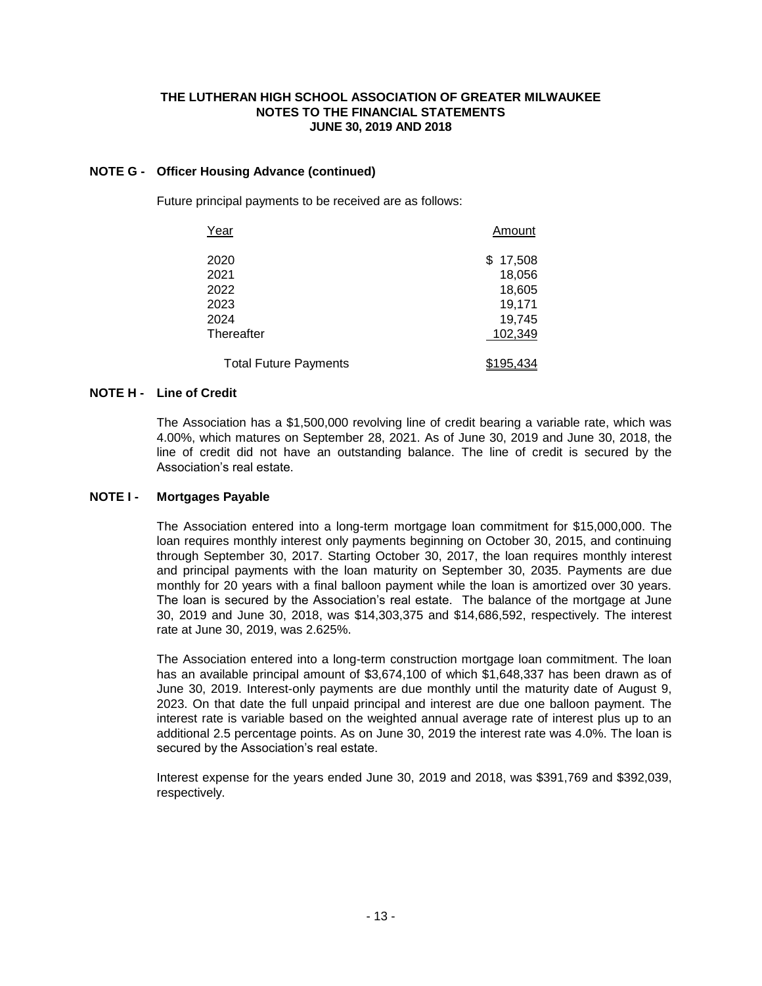# **NOTE G - Officer Housing Advance (continued)**

Future principal payments to be received are as follows:

| Year                         | Amount    |
|------------------------------|-----------|
| 2020                         | \$17,508  |
| 2021                         | 18,056    |
| 2022                         | 18,605    |
| 2023                         | 19,171    |
| 2024                         | 19,745    |
| Thereafter                   | 102,349   |
| <b>Total Future Payments</b> | \$195,434 |

#### **NOTE H - Line of Credit**

The Association has a \$1,500,000 revolving line of credit bearing a variable rate, which was 4.00%, which matures on September 28, 2021. As of June 30, 2019 and June 30, 2018, the line of credit did not have an outstanding balance. The line of credit is secured by the Association's real estate.

#### **NOTE I - Mortgages Payable**

The Association entered into a long-term mortgage loan commitment for \$15,000,000. The loan requires monthly interest only payments beginning on October 30, 2015, and continuing through September 30, 2017. Starting October 30, 2017, the loan requires monthly interest and principal payments with the loan maturity on September 30, 2035. Payments are due monthly for 20 years with a final balloon payment while the loan is amortized over 30 years. The loan is secured by the Association's real estate. The balance of the mortgage at June 30, 2019 and June 30, 2018, was \$14,303,375 and \$14,686,592, respectively. The interest rate at June 30, 2019, was 2.625%.

The Association entered into a long-term construction mortgage loan commitment. The loan has an available principal amount of \$3,674,100 of which \$1,648,337 has been drawn as of June 30, 2019. Interest-only payments are due monthly until the maturity date of August 9, 2023. On that date the full unpaid principal and interest are due one balloon payment. The interest rate is variable based on the weighted annual average rate of interest plus up to an additional 2.5 percentage points. As on June 30, 2019 the interest rate was 4.0%. The loan is secured by the Association's real estate.

Interest expense for the years ended June 30, 2019 and 2018, was \$391,769 and \$392,039, respectively.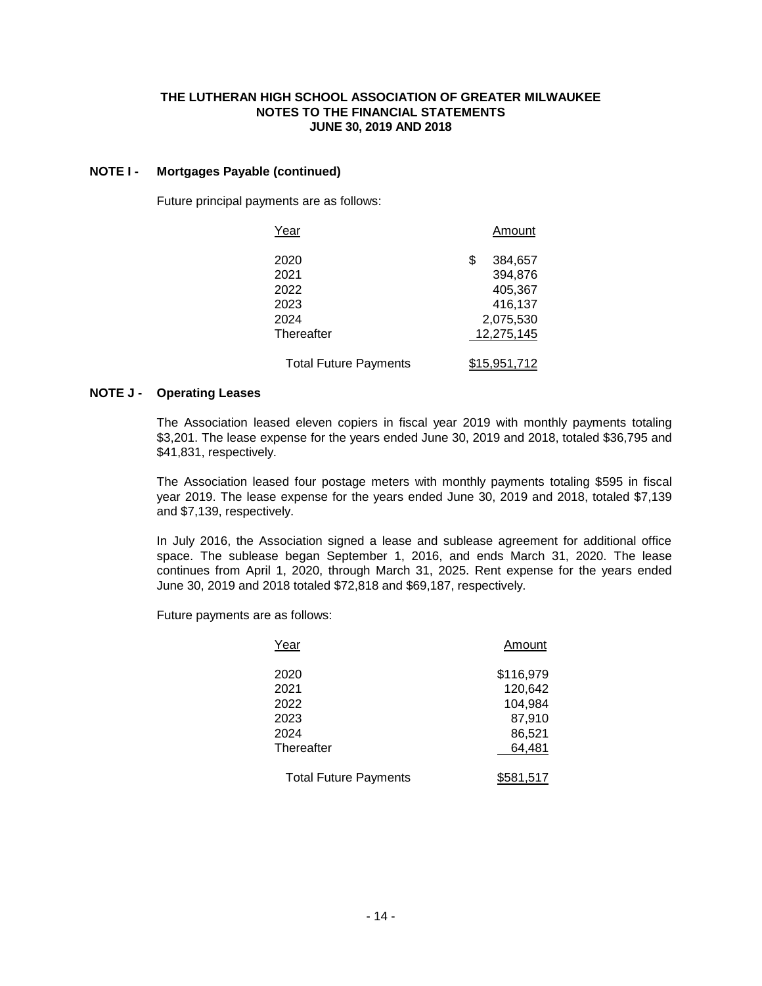#### **NOTE I - Mortgages Payable (continued)**

Future principal payments are as follows:

| Year                         | Amount        |
|------------------------------|---------------|
| 2020                         | \$<br>384,657 |
| 2021                         | 394,876       |
| 2022                         | 405,367       |
| 2023                         | 416,137       |
| 2024                         | 2,075,530     |
| Thereafter                   | 12,275,145    |
| <b>Total Future Payments</b> | \$15,951,712  |

# **NOTE J - Operating Leases**

The Association leased eleven copiers in fiscal year 2019 with monthly payments totaling \$3,201. The lease expense for the years ended June 30, 2019 and 2018, totaled \$36,795 and \$41,831, respectively.

The Association leased four postage meters with monthly payments totaling \$595 in fiscal year 2019. The lease expense for the years ended June 30, 2019 and 2018, totaled \$7,139 and \$7,139, respectively.

In July 2016, the Association signed a lease and sublease agreement for additional office space. The sublease began September 1, 2016, and ends March 31, 2020. The lease continues from April 1, 2020, through March 31, 2025. Rent expense for the years ended June 30, 2019 and 2018 totaled \$72,818 and \$69,187, respectively.

Future payments are as follows:

| Year                         | Amount                      |
|------------------------------|-----------------------------|
| 2020<br>2021                 | \$116,979<br>120,642        |
| 2022<br>2023<br>2024         | 104,984<br>87,910<br>86,521 |
| Thereafter                   | 64,481                      |
| <b>Total Future Payments</b> | \$581,517                   |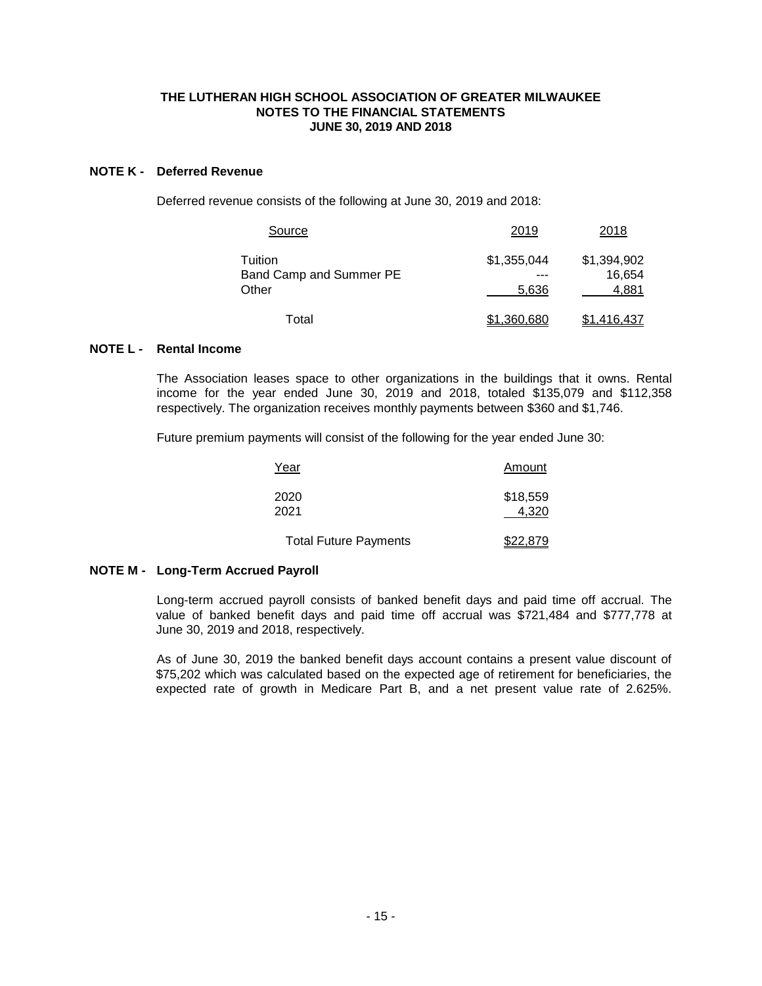#### **NOTE K - Deferred Revenue**

Deferred revenue consists of the following at June 30, 2019 and 2018:

| Source                                      | 2019                 | 2018                           |
|---------------------------------------------|----------------------|--------------------------------|
| Tuition<br>Band Camp and Summer PE<br>Other | \$1,355,044<br>5,636 | \$1,394,902<br>16,654<br>4.881 |
| Total                                       | \$1,360,680          | \$1,416,437                    |

### **NOTE L - Rental Income**

The Association leases space to other organizations in the buildings that it owns. Rental income for the year ended June 30, 2019 and 2018, totaled \$135,079 and \$112,358 respectively. The organization receives monthly payments between \$360 and \$1,746.

Future premium payments will consist of the following for the year ended June 30:

| Year                         | Amount            |
|------------------------------|-------------------|
| 2020<br>2021                 | \$18,559<br>4,320 |
| <b>Total Future Payments</b> | \$22.879          |

#### **NOTE M - Long-Term Accrued Payroll**

Long-term accrued payroll consists of banked benefit days and paid time off accrual. The value of banked benefit days and paid time off accrual was \$721,484 and \$777,778 at June 30, 2019 and 2018, respectively.

As of June 30, 2019 the banked benefit days account contains a present value discount of \$75,202 which was calculated based on the expected age of retirement for beneficiaries, the expected rate of growth in Medicare Part B, and a net present value rate of 2.625%.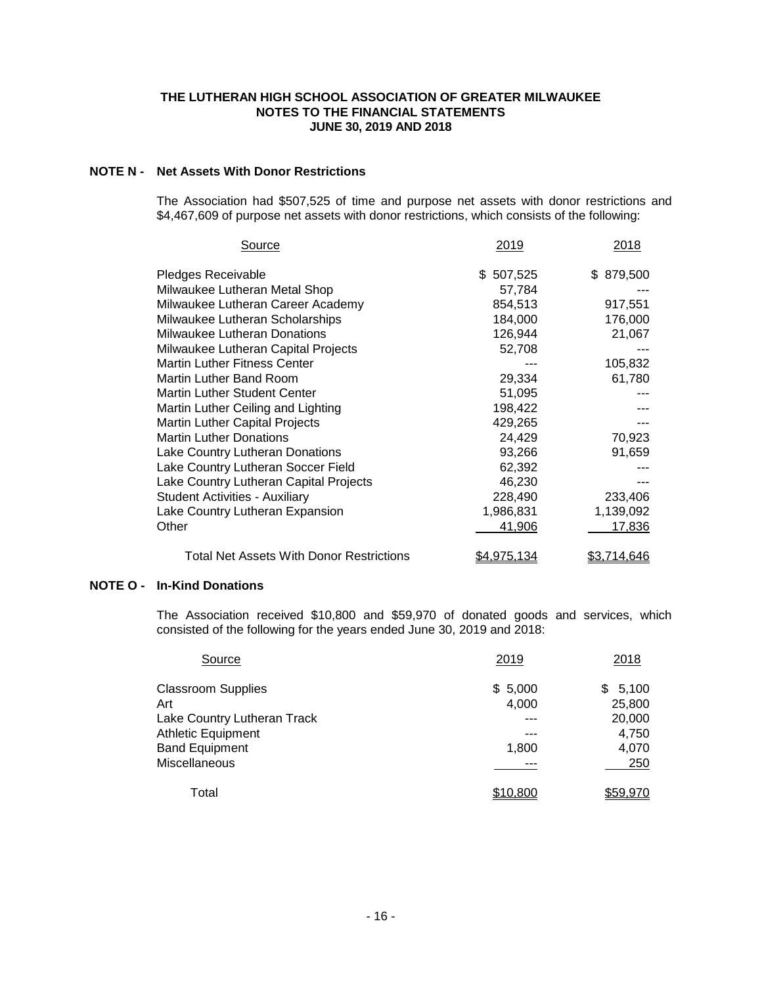#### **NOTE N - Net Assets With Donor Restrictions**

The Association had \$507,525 of time and purpose net assets with donor restrictions and \$4,467,609 of purpose net assets with donor restrictions, which consists of the following:

| Source                                   | 2019               | 2018           |
|------------------------------------------|--------------------|----------------|
| Pledges Receivable                       | \$507,525          | 879,500<br>\$. |
| Milwaukee Lutheran Metal Shop            | 57,784             |                |
| Milwaukee Lutheran Career Academy        | 854,513            | 917,551        |
| Milwaukee Lutheran Scholarships          | 184,000            | 176,000        |
| <b>Milwaukee Lutheran Donations</b>      | 126,944            | 21,067         |
| Milwaukee Lutheran Capital Projects      | 52,708             |                |
| <b>Martin Luther Fitness Center</b>      |                    | 105,832        |
| Martin Luther Band Room                  | 29,334             | 61,780         |
| <b>Martin Luther Student Center</b>      | 51,095             |                |
| Martin Luther Ceiling and Lighting       | 198,422            |                |
| <b>Martin Luther Capital Projects</b>    | 429,265            |                |
| <b>Martin Luther Donations</b>           | 24,429             | 70,923         |
| Lake Country Lutheran Donations          | 93,266             | 91,659         |
| Lake Country Lutheran Soccer Field       | 62,392             |                |
| Lake Country Lutheran Capital Projects   | 46,230             |                |
| <b>Student Activities - Auxiliary</b>    | 228,490            | 233,406        |
| Lake Country Lutheran Expansion          | 1,986,831          | 1,139,092      |
| Other                                    | 41,906             | 17,836         |
| Total Net Assets With Donor Restrictions | <u>\$4,975,134</u> | \$3,714,646    |

#### **NOTE O - In-Kind Donations**

The Association received \$10,800 and \$59,970 of donated goods and services, which consisted of the following for the years ended June 30, 2019 and 2018:

| Source                      | 2019     | 2018         |
|-----------------------------|----------|--------------|
| <b>Classroom Supplies</b>   | \$5,000  | 5,100<br>\$. |
| Art                         | 4,000    | 25,800       |
| Lake Country Lutheran Track |          | 20,000       |
| <b>Athletic Equipment</b>   | ---      | 4,750        |
| <b>Band Equipment</b>       | 1,800    | 4,070        |
| Miscellaneous               |          | 250          |
| Total                       | \$10,800 | \$59,970     |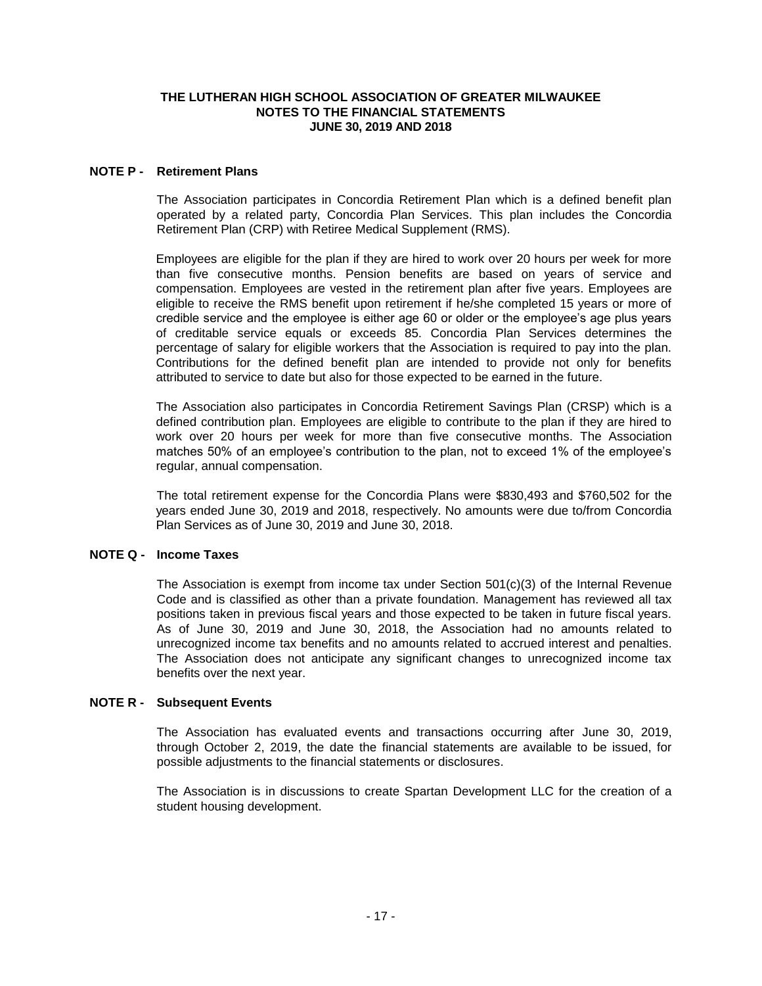#### **NOTE P - Retirement Plans**

The Association participates in Concordia Retirement Plan which is a defined benefit plan operated by a related party, Concordia Plan Services. This plan includes the Concordia Retirement Plan (CRP) with Retiree Medical Supplement (RMS).

Employees are eligible for the plan if they are hired to work over 20 hours per week for more than five consecutive months. Pension benefits are based on years of service and compensation. Employees are vested in the retirement plan after five years. Employees are eligible to receive the RMS benefit upon retirement if he/she completed 15 years or more of credible service and the employee is either age 60 or older or the employee's age plus years of creditable service equals or exceeds 85. Concordia Plan Services determines the percentage of salary for eligible workers that the Association is required to pay into the plan. Contributions for the defined benefit plan are intended to provide not only for benefits attributed to service to date but also for those expected to be earned in the future.

The Association also participates in Concordia Retirement Savings Plan (CRSP) which is a defined contribution plan. Employees are eligible to contribute to the plan if they are hired to work over 20 hours per week for more than five consecutive months. The Association matches 50% of an employee's contribution to the plan, not to exceed 1% of the employee's regular, annual compensation.

The total retirement expense for the Concordia Plans were \$830,493 and \$760,502 for the years ended June 30, 2019 and 2018, respectively. No amounts were due to/from Concordia Plan Services as of June 30, 2019 and June 30, 2018.

#### **NOTE Q - Income Taxes**

The Association is exempt from income tax under Section 501(c)(3) of the Internal Revenue Code and is classified as other than a private foundation. Management has reviewed all tax positions taken in previous fiscal years and those expected to be taken in future fiscal years. As of June 30, 2019 and June 30, 2018, the Association had no amounts related to unrecognized income tax benefits and no amounts related to accrued interest and penalties. The Association does not anticipate any significant changes to unrecognized income tax benefits over the next year.

#### **NOTE R - Subsequent Events**

The Association has evaluated events and transactions occurring after June 30, 2019, through October 2, 2019, the date the financial statements are available to be issued, for possible adjustments to the financial statements or disclosures.

The Association is in discussions to create Spartan Development LLC for the creation of a student housing development.